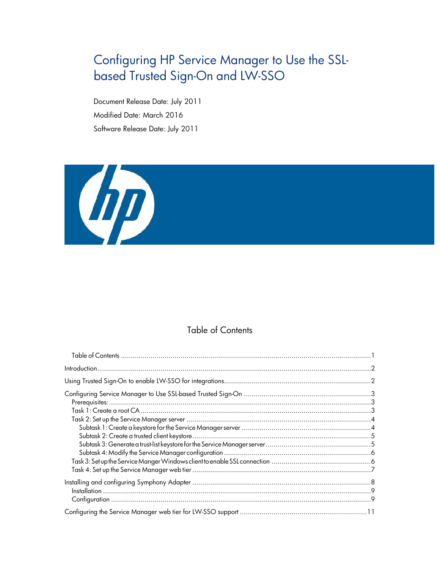# <span id="page-0-0"></span>Configuring HP Service Manager to Use the SSLbased Trusted Sign-On and LW-SSO

Document Release Date: July 2011 Modified Date: March 2016 Software Release Date: July 2011



## Table of Contents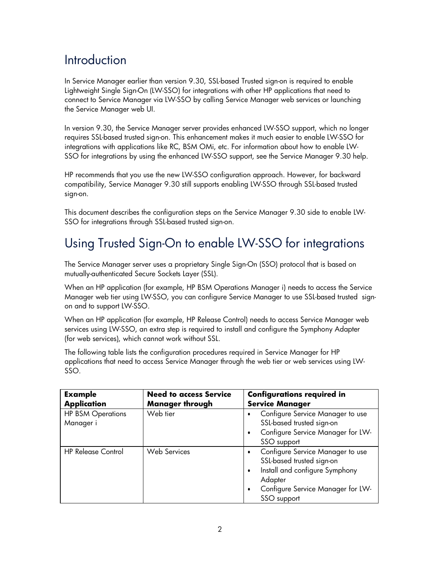# <span id="page-1-0"></span>**Introduction**

In Service Manager earlier than version 9.30, SSL-based Trusted sign-on is required to enable Lightweight Single Sign-On (LW-SSO) for integrations with other HP applications that need to connect to Service Manager via LW-SSO by calling Service Manager web services or launching the Service Manager web UI.

In version 9.30, the Service Manager server provides enhanced LW-SSO support, which no longer requires SSL-based trusted sign-on. This enhancement makes it much easier to enable LW-SSO for integrations with applications like RC, BSM OMi, etc. For information about how to enable LW-SSO for integrations by using the enhanced LW-SSO support, see the Service Manager 9.30 help.

HP recommends that you use the new LW-SSO configuration approach. However, for backward compatibility, Service Manager 9.30 still supports enabling LW-SSO through SSL-based trusted sign-on.

This document describes the configuration steps on the Service Manager 9.30 side to enable LW-SSO for integrations through SSL-based trusted sign-on.

# Using Trusted Sign-On to enable LW-SSO for integrations

The Service Manager server uses a proprietary Single Sign-On (SSO) protocol that is based on mutually-authenticated Secure Sockets Layer (SSL).

When an HP application (for example, HP BSM Operations Manager i) needs to access the Service Manager web tier using LW-SSO, you can configure Service Manager to use SSL-based trusted signon and to support LW-SSO.

When an HP application (for example, HP Release Control) needs to access Service Manager web services using LW-SSO, an extra step is required to install and configure the Symphony Adapter (for web services), which cannot work without SSL.

The following table lists the configuration procedures required in Service Manager for HP applications that need to access Service Manager through the web tier or web services using LW-SSO.

| <b>Example</b><br><b>Application</b>  | <b>Need to access Service</b><br><b>Manager through</b> | <b>Configurations required in</b><br><b>Service Manager</b>                                                                                                                                   |
|---------------------------------------|---------------------------------------------------------|-----------------------------------------------------------------------------------------------------------------------------------------------------------------------------------------------|
| <b>HP BSM Operations</b><br>Manager i | Web tier                                                | Configure Service Manager to use<br>SSL-based trusted sign-on<br>Configure Service Manager for LW-<br>$\bullet$<br>SSO support                                                                |
| <b>HP Release Control</b>             | <b>Web Services</b>                                     | Configure Service Manager to use<br>$\bullet$<br>SSL-based trusted sign-on<br>Install and configure Symphony<br>٠<br>Adapter<br>Configure Service Manager for LW-<br>$\bullet$<br>SSO support |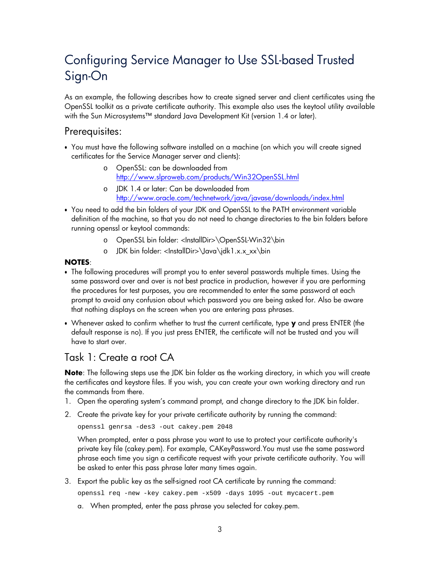# <span id="page-2-0"></span>Configuring Service Manager to Use SSL-based Trusted Sign-On

As an example, the following describes how to create signed server and client certificates using the OpenSSL toolkit as a private certificate authority. This example also uses the keytool utility available with the Sun Microsystems™ standard Java Development Kit (version 1.4 or later).

## Prerequisites:

- You must have the following software installed on a machine (on which you will create signed certificates for the Service Manager server and clients):
	- o OpenSSL: can be downloaded from <http://www.slproweb.com/products/Win32OpenSSL.html>
	- o JDK 1.4 or later: Can be downloaded from <http://www.oracle.com/technetwork/java/javase/downloads/index.html>
- You need to add the bin folders of your JDK and OpenSSL to the PATH environment variable definition of the machine, so that you do not need to change directories to the bin folders before running openssl or keytool commands:
	- o OpenSSL bin folder: <InstallDir>\OpenSSL-Win32\bin
	- o JDK bin folder: <InstallDir>\Java\jdk1.x.x\_xx\bin

### **NOTES**:

- The following procedures will prompt you to enter several passwords multiple times. Using the same password over and over is not best practice in production, however if you are performing the procedures for test purposes, you are recommended to enter the same password at each prompt to avoid any confusion about which password you are being asked for. Also be aware that nothing displays on the screen when you are entering pass phrases.
- Whenever asked to confirm whether to trust the current certificate, type **y** and press ENTER (the default response is no). If you just press ENTER, the certificate will not be trusted and you will have to start over.

## Task 1: Create a root CA

**Note**: The following steps use the JDK bin folder as the working directory, in which you will create the certificates and keystore files. If you wish, you can create your own working directory and run the commands from there.

- 1. Open the operating system's command prompt, and change directory to the JDK bin folder.
- 2. Create the private key for your private certificate authority by running the command:

openssl genrsa -des3 -out cakey.pem 2048

When prompted, enter a pass phrase you want to use to protect your certificate authority's private key file (cakey.pem). For example, CAKeyPassword.You must use the same password phrase each time you sign a certificate request with your private certificate authority. You will be asked to enter this pass phrase later many times again.

3. Export the public key as the self-signed root CA certificate by running the command:

openssl req -new -key cakey.pem -x509 -days 1095 -out mycacert.pem

a. When prompted, enter the pass phrase you selected for cakey.pem.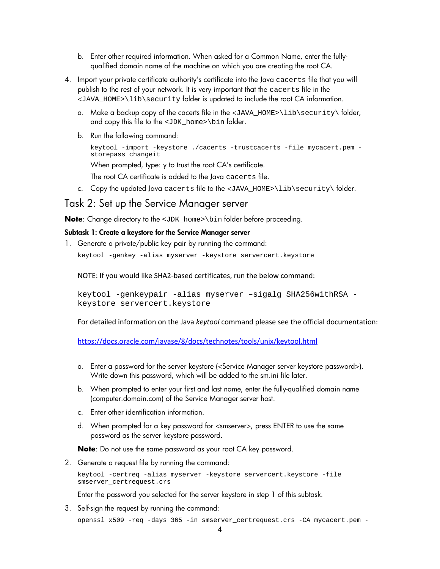- <span id="page-3-0"></span>b. Enter other required information. When asked for a Common Name, enter the fullyqualified domain name of the machine on which you are creating the root CA.
- 4. Import your private certificate authority's certificate into the Java cacerts file that you will publish to the rest of your network. It is very important that the cacerts file in the <JAVA\_HOME>\lib\security folder is updated to include the root CA information.
	- a. Make a backup copy of the cacerts file in the <JAVA\_HOME>\lib\security\ folder, and copy this file to the <JDK\_home>\bin folder.
	- b. Run the following command:

```
keytool -import -keystore ./cacerts -trustcacerts -file mycacert.pem -
storepass changeit
```
When prompted, type: y to trust the root CA's certificate.

The root CA certificate is added to the Java cacerts file.

c. Copy the updated Java cacerts file to the <JAVA\_HOME>\lib\security\ folder.

### Task 2: Set up the Service Manager server

**Note**: Change directory to the <JDK\_home>\bin folder before proceeding.

#### Subtask 1: Create a keystore for the Service Manager server

1. Generate a private/public key pair by running the command:

keytool -genkey -alias myserver -keystore servercert.keystore

NOTE: If you would like SHA2-based certificates, run the below command:

```
keytool -genkeypair -alias myserver –sigalg SHA256withRSA -
keystore servercert.keystore
```
For detailed information on the Java *keytool* command please see the official documentation:

<https://docs.oracle.com/javase/8/docs/technotes/tools/unix/keytool.html>

- a. Enter a password for the server keystore (<Service Manager server keystore password>). Write down this password, which will be added to the sm.ini file later.
- b. When prompted to enter your first and last name, enter the fully-qualified domain name (computer.domain.com) of the Service Manager server host.
- c. Enter other identification information.
- d. When prompted for a key password for <smserver>, press ENTER to use the same password as the server keystore password.

**Note**: Do not use the same password as your root CA key password.

2. Generate a request file by running the command:

keytool -certreq -alias myserver -keystore servercert.keystore -file smserver\_certrequest.crs

Enter the password you selected for the server keystore in step 1 of this subtask.

3. Self-sign the request by running the command:

openssl x509 -req -days 365 -in smserver\_certrequest.crs -CA mycacert.pem -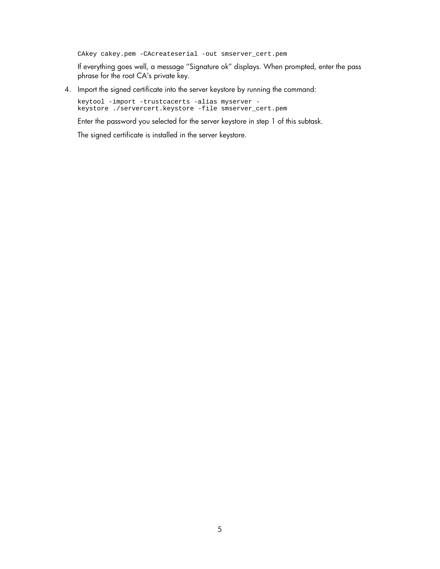CAkey cakey.pem -CAcreateserial -out smserver\_cert.pem

If everything goes well, a message ''Signature ok'' displays. When prompted, enter the pass phrase for the root CA's private key.

4. Import the signed certificate into the server keystore by running the command:

keytool -import -trustcacerts -alias myserver keystore ./servercert.keystore -file smserver\_cert.pem

Enter the password you selected for the server keystore in step 1 of this subtask.

The signed certificate is installed in the server keystore.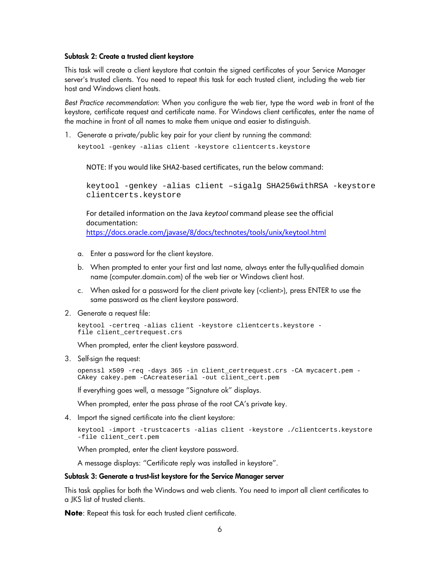#### <span id="page-5-0"></span>Subtask 2: Create a trusted client keystore

This task will create a client keystore that contain the signed certificates of your Service Manager server's trusted clients. You need to repeat this task for each trusted client, including the web tier host and Windows client hosts.

*Best Practice recommendation*: When you configure the web tier, type the word *web* in front of the keystore, certificate request and certificate name. For Windows client certificates, enter the name of the machine in front of all names to make them unique and easier to distinguish.

1. Generate a private/public key pair for your client by running the command:

keytool -genkey -alias client -keystore clientcerts.keystore

NOTE: If you would like SHA2-based certificates, run the below command:

keytool -genkey -alias client –sigalg SHA256withRSA -keystore clientcerts.keystore

For detailed information on the Java *keytool* command please see the official documentation:

<https://docs.oracle.com/javase/8/docs/technotes/tools/unix/keytool.html>

- a. Enter a password for the client keystore.
- b. When prompted to enter your first and last name, always enter the fully-qualified domain name (computer.domain.com) of the web tier or Windows client host.
- c. When asked for a password for the client private key (<client>), press ENTER to use the same password as the client keystore password.
- 2. Generate a request file:

keytool -certreq -alias client -keystore clientcerts.keystore file client\_certrequest.crs

When prompted, enter the client keystore password.

3. Self-sign the request:

openssl x509 -req -days 365 -in client\_certrequest.crs -CA mycacert.pem - CAkey cakey.pem -CAcreateserial -out client\_cert.pem

If everything goes well, a message ''Signature ok'' displays.

When prompted, enter the pass phrase of the root CA's private key.

4. Import the signed certificate into the client keystore:

```
keytool -import -trustcacerts -alias client -keystore ./clientcerts.keystore
-file client_cert.pem
```
When prompted, enter the client keystore password.

A message displays: ''Certificate reply was installed in keystore''.

#### Subtask 3: Generate a trust-list keystore for the Service Manager server

This task applies for both the Windows and web clients. You need to import all client certificates to a JKS list of trusted clients.

**Note**: Repeat this task for each trusted client certificate.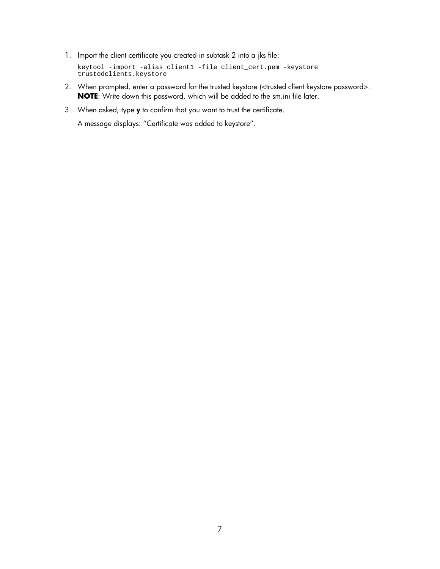1. Import the client certificate you created in subtask 2 into a jks file:

keytool -import -alias client1 -file client\_cert.pem -keystore trustedclients.keystore

- 2. When prompted, enter a password for the trusted keystore (<trusted client keystore password>. **NOTE**: Write down this password, which will be added to the sm.ini file later.
- 3. When asked, type y to confirm that you want to trust the certificate.

A message displays: ''Certificate was added to keystore''.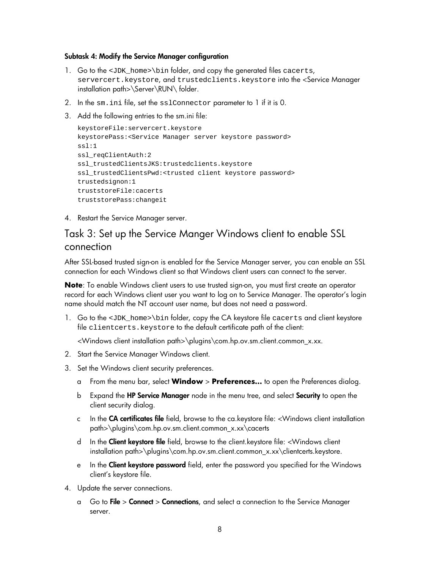#### <span id="page-7-0"></span>Subtask 4: Modify the Service Manager configuration

- 1. Go to the <JDK\_home>\bin folder, and copy the generated files cacerts, servercert.keystore, and trustedclients.keystore into the <Service Manager installation path>\Server\RUN\ folder.
- 2. In the sm.ini file, set the sslConnector parameter to 1 if it is 0.
- 3. Add the following entries to the sm.ini file:

```
keystoreFile:servercert.keystore
keystorePass:<Service Manager server keystore password> 
ssl:1
ssl_reqClientAuth:2 
ssl_trustedClientsJKS:trustedclients.keystore 
ssl_trustedClientsPwd:<trusted client keystore password> 
trustedsignon:1
truststoreFile:cacerts 
truststorePass:changeit
```
4. Restart the Service Manager server.

## Task 3: Set up the Service Manger Windows client to enable SSL connection

After SSL-based trusted sign-on is enabled for the Service Manager server, you can enable an SSL connection for each Windows client so that Windows client users can connect to the server.

**Note**: To enable Windows client users to use trusted sign-on, you must first create an operator record for each Windows client user you want to log on to Service Manager. The operator's login name should match the NT account user name, but does not need a password.

1. Go to the <JDK\_home>\bin folder, copy the CA keystore file cacerts and client keystore file clientcerts.keystore to the default certificate path of the client:

<Windows client installation path>\plugins\com.hp.ov.sm.client.common\_x.xx.

- 2. Start the Service Manager Windows client.
- 3. Set the Windows client security preferences.
	- a From the menu bar, select **Window** > **Preferences…** to open the Preferences dialog.
	- b Expand the HP Service Manager node in the menu tree, and select Security to open the client security dialog.
	- c In the CA certificates file field, browse to the ca.keystore file: <Windows client installation path>\plugins\com.hp.ov.sm.client.common\_x.xx\cacerts
	- d In the **Client keystore file** field, browse to the client.keystore file: <Windows client installation path>\plugins\com.hp.ov.sm.client.common\_x.xx\clientcerts.keystore.
	- e In the **Client keystore password** field, enter the password you specified for the Windows client's keystore file.
- 4. Update the server connections.
	- a Go to File > Connect > Connections, and select a connection to the Service Manager server.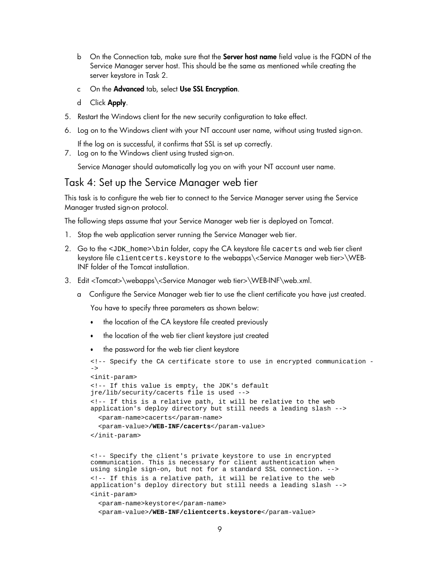- <span id="page-8-0"></span>b On the Connection tab, make sure that the **Server host name** field value is the FQDN of the Service Manager server host. This should be the same as mentioned while creating the server keystore in Task 2.
- c On the Advanced tab, select Use SSL Encryption.
- d Click Apply.
- 5. Restart the Windows client for the new security configuration to take effect.
- 6. Log on to the Windows client with your NT account user name, without using trusted sign-on.

If the log on is successful, it confirms that SSL is set up correctly.

7. Log on to the Windows client using trusted sign-on.

Service Manager should automatically log you on with your NT account user name.

### Task 4: Set up the Service Manager web tier

This task is to configure the web tier to connect to the Service Manager server using the Service Manager trusted sign-on protocol.

The following steps assume that your Service Manager web tier is deployed on Tomcat.

- 1. Stop the web application server running the Service Manager web tier.
- 2. Go to the <JDK\_home>\bin folder, copy the CA keystore file cacerts and web tier client keystore file clientcerts.keystore to the webapps\<Service Manager web tier>\WEB-INF folder of the Tomcat installation.
- 3. Edit <Tomcat>\webapps\<Service Manager web tier>\WEB-INF\web.xml.
	- a Configure the Service Manager web tier to use the client certificate you have just created.

You have to specify three parameters as shown below:

- the location of the CA keystore file created previously
- the location of the web tier client keystore just created
- the password for the web tier client keystore

```
<!-- Specify the CA certificate store to use in encrypted communication -
\rightarrow<init-param>
<!-- If this value is empty, the JDK's default 
jre/lib/security/cacerts file is used -->
<!-- If this is a relative path, it will be relative to the web 
application's deploy directory but still needs a leading slash -->
  <param-name>cacerts</param-name>
  <param-value>/WEB-INF/cacerts</param-value>
</init-param>
```
<!-- Specify the client's private keystore to use in encrypted communication. This is necessary for client authentication when using single sign-on, but not for a standard SSL connection. --> <!-- If this is a relative path, it will be relative to the web application's deploy directory but still needs a leading slash --> <init-param>

<param-name>keystore</param-name> <param-value>**/WEB-INF/clientcerts.keystore**</param-value>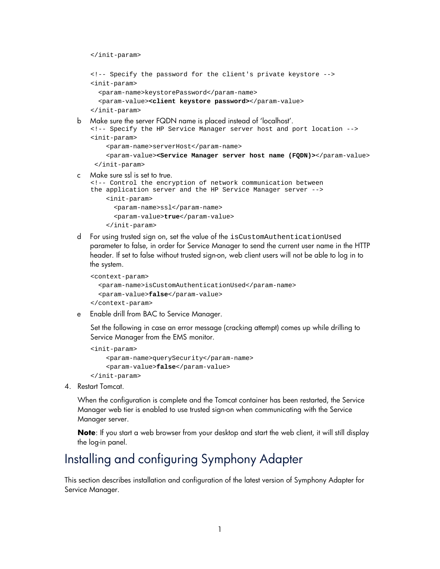<span id="page-9-0"></span></init-param>

```
<!-- Specify the password for the client's private keystore -->
<init-param>
 <param-name>keystorePassword</param-name>
 <param-value><client keystore password></param-value>
</init-param>
```
b Make sure the server FQDN name is placed instead of 'localhost'.

```
<!-- Specify the HP Service Manager server host and port location -->
<init-param>
```

```
<param-name>serverHost</param-name>
```

```
<param-value><Service Manager server host name (FQDN)></param-value>
</init-param>
```
c Make sure ssl is set to true.

```
<!-- Control the encryption of network communication between 
the application server and the HP Service Manager server -->
```

```
<init-param>
  <param-name>ssl</param-name>
  <param-value>true</param-value>
```
</init-param>

d For using trusted sign on, set the value of the isCustomAuthenticationUsed parameter to false, in order for Service Manager to send the current user name in the HTTP header. If set to false without trusted sign-on, web client users will not be able to log in to the system.

```
<context-param>
  <param-name>isCustomAuthenticationUsed</param-name>
  <param-value>false</param-value>
</context-param>
```
e Enable drill from BAC to Service Manager.

Set the following in case an error message (cracking attempt) comes up while drilling to Service Manager from the EMS monitor.

```
<init-param>
    <param-name>querySecurity</param-name>
    <param-value>false</param-value>
</init-param>
```
4. Restart Tomcat.

When the configuration is complete and the Tomcat container has been restarted, the Service Manager web tier is enabled to use trusted sign-on when communicating with the Service Manager server.

**Note**: If you start a web browser from your desktop and start the web client, it will still display the log-in panel.

# Installing and configuring Symphony Adapter

This section describes installation and configuration of the latest version of Symphony Adapter for Service Manager.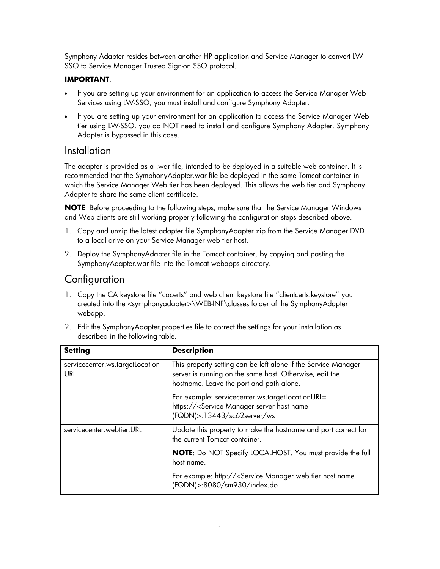<span id="page-10-0"></span>Symphony Adapter resides between another HP application and Service Manager to convert LW-SSO to Service Manager Trusted Sign-on SSO protocol.

### **IMPORTANT**:

- If you are setting up your environment for an application to access the Service Manager Web Services using LW-SSO, you must install and configure Symphony Adapter.
- If you are setting up your environment for an application to access the Service Manager Web tier using LW-SSO, you do NOT need to install and configure Symphony Adapter. Symphony Adapter is bypassed in this case.

## **Installation**

The adapter is provided as a .war file, intended to be deployed in a suitable web container. It is recommended that the SymphonyAdapter.war file be deployed in the same Tomcat container in which the Service Manager Web tier has been deployed. This allows the web tier and Symphony Adapter to share the same client certificate.

**NOTE**: Before proceeding to the following steps, make sure that the Service Manager Windows and Web clients are still working properly following the configuration steps described above.

- 1. Copy and unzip the latest adapter file SymphonyAdapter.zip from the Service Manager DVD to a local drive on your Service Manager web tier host.
- 2. Deploy the SymphonyAdapter file in the Tomcat container, by copying and pasting the SymphonyAdapter.war file into the Tomcat webapps directory.

## **Configuration**

1. Copy the CA keystore file ''cacerts'' and web client keystore file ''clientcerts.keystore'' you created into the <symphonyadapter>\WEB-INF\classes folder of the SymphonyAdapter webapp.

| 2. Edit the SymphonyAdapter.properties file to correct the settings for your installation as |
|----------------------------------------------------------------------------------------------|
| described in the following table.                                                            |

| <b>Setting</b>                         | <b>Description</b>                                                                                                                                                    |
|----------------------------------------|-----------------------------------------------------------------------------------------------------------------------------------------------------------------------|
| servicecenter.ws.targetLocation<br>URL | This property setting can be left alone if the Service Manager<br>server is running on the same host. Otherwise, edit the<br>hostname. Leave the port and path alone. |
|                                        | For example: servicecenter.ws.targetLocationURL=<br>https:// <service host="" manager="" name<br="" server="">(FQDN)&gt;:13443/sc62server/ws</service>                |
| servicecenter.webtier.URL              | Update this property to make the hostname and port correct for<br>the current Tomcat container.                                                                       |
|                                        | <b>NOTE:</b> Do NOT Specify LOCALHOST. You must provide the full<br>host name.                                                                                        |
|                                        | For example: http:// <service host="" manager="" name<br="" tier="" web="">(FQDN)&gt;:8080/sm930/index.do</service>                                                   |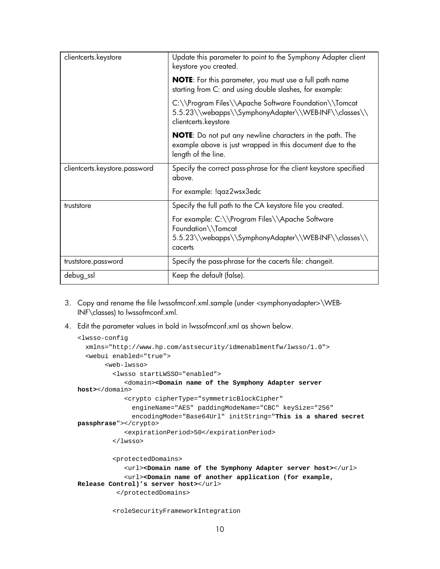| clientcerts.keystore          | Update this parameter to point to the Symphony Adapter client<br>keystore you created.                                                              |
|-------------------------------|-----------------------------------------------------------------------------------------------------------------------------------------------------|
|                               | <b>NOTE:</b> For this parameter, you must use a full path name<br>starting from C: and using double slashes, for example:                           |
|                               | C:\\Program Files\\Apache Software Foundation\\Tomcat<br>5.5.23\\webapps\\SymphonyAdapter\\WEB-INF\\classes\\<br>clientcerts.keystore               |
|                               | <b>NOTE:</b> Do not put any newline characters in the path. The<br>example above is just wrapped in this document due to the<br>length of the line. |
| clientcerts.keystore.password | Specify the correct pass-phrase for the client keystore specified<br>above.                                                                         |
|                               | For example: !qaz2wsx3edc                                                                                                                           |
| truststore                    | Specify the full path to the CA keystore file you created.                                                                                          |
|                               | For example: C:\\Program Files\\Apache Software<br>Foundation\\Tomcat<br>5.5.23\\webapps\\SymphonyAdapter\\WEB-INF\\classes\\<br>cacerts            |
| truststore.password           | Specify the pass-phrase for the cacerts file: changeit.                                                                                             |
| debug_ssl                     | Keep the default (false).                                                                                                                           |

- 3. Copy and rename the file lwssofmconf.xml.sample (under <symphonyadapter>\WEB-INF\classes) to lwssofmconf.xml.
- 4. Edit the parameter values in bold in lwssofmconf.xml as shown below.

```
<lwsso-config
  xmlns="http://www.hp.com/astsecurity/idmenablmentfw/lwsso/1.0">
  <webui enabled="true">
       <web-lwsso>
         <lwsso startLWSSO="enabled">
            <domain><Domain name of the Symphony Adapter server 
host></domain>
            <crypto cipherType="symmetricBlockCipher" 
              engineName="AES" paddingModeName="CBC" keySize="256"
              encodingMode="Base64Url" initString="This is a shared secret 
passphrase"></crypto>
            <expirationPeriod>50</expirationPeriod>
         </lwsso>
         <protectedDomains>
            <url><Domain name of the Symphony Adapter server host></url>
            <url><Domain name of another application (for example, 
Release Control)'s server host></url>
          </protectedDomains>
```

```
<roleSecurityFrameworkIntegration
```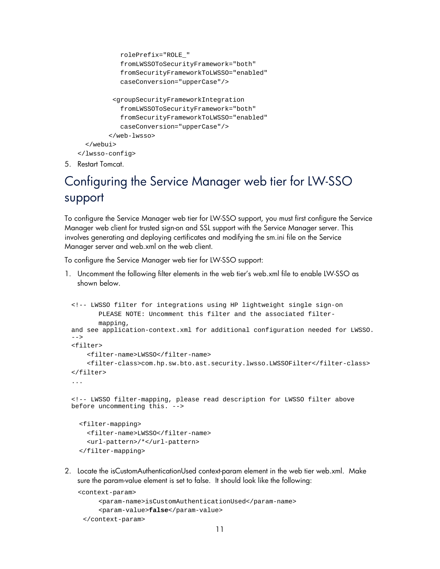```
rolePrefix="ROLE_" 
           fromLWSSOToSecurityFramework="both" 
           fromSecurityFrameworkToLWSSO="enabled" 
           caseConversion="upperCase"/>
         <groupSecurityFrameworkIntegration 
           fromLWSSOToSecurityFramework="both" 
           fromSecurityFrameworkToLWSSO="enabled" 
           caseConversion="upperCase"/>
        </web-lwsso>
  </webui>
</lwsso-config>
```
5. Restart Tomcat.

# Configuring the Service Manager web tier for LW-SSO support

To configure the Service Manager web tier for LW-SSO support, you must first configure the Service Manager web client for trusted sign-on and SSL support with the Service Manager server. This involves generating and deploying certificates and modifying the sm.ini file on the Service Manager server and web.xml on the web client.

To configure the Service Manager web tier for LW-SSO support:

1. Uncomment the following filter elements in the web tier's web.xml file to enable LW-SSO as shown below.

```
<!-- LWSSO filter for integrations using HP lightweight single sign-on 
       PLEASE NOTE: Uncomment this filter and the associated filter-
       mapping,
and see application-context.xml for additional configuration needed for LWSSO.
-->
<filter>
    <filter-name>LWSSO</filter-name>
    <filter-class>com.hp.sw.bto.ast.security.lwsso.LWSSOFilter</filter-class>
</filter>
<!-- LWSSO filter-mapping, please read description for LWSSO filter above 
before uncommenting this. -->
  <filter-mapping>
    <filter-name>LWSSO</filter-name>
    <url-pattern>/*</url-pattern>
  </filter-mapping>
```
2. Locate the isCustomAuthenticationUsed context-param element in the web tier web.xml. Make sure the param-value element is set to false. It should look like the following:

```
<context-param>
     <param-name>isCustomAuthenticationUsed</param-name>
     <param-value>false</param-value>
 </context-param>
```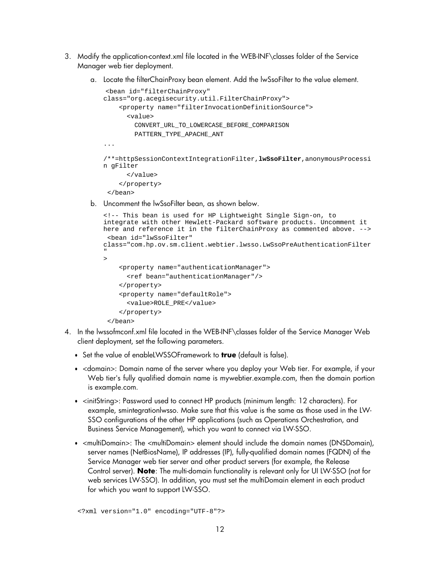- 3. Modify the application-context.xml file located in the WEB-INF\classes folder of the Service Manager web tier deployment.
	- a. Locate the filterChainProxy bean element. Add the lwSsoFilter to the value element.

```
<bean id="filterChainProxy" 
class="org.acegisecurity.util.FilterChainProxy">
    <property name="filterInvocationDefinitionSource">
      <value> 
        CONVERT_URL_TO_LOWERCASE_BEFORE_COMPARISON
        PATTERN_TYPE_APACHE_ANT
...
/**=httpSessionContextIntegrationFilter,lwSsoFilter,anonymousProcessi
n gFilter
      </value>
    </property>
 </bean>
```
b. Uncomment the lwSsoFilter bean, as shown below.

```
<!-- This bean is used for HP Lightweight Single Sign-on, to 
integrate with other Hewlett-Packard software products. Uncomment it 
here and reference it in the filterChainProxy as commented above. -->
 <bean id="lwSsoFilter" 
class="com.hp.ov.sm.client.webtier.lwsso.LwSsoPreAuthenticationFilter
"
>
    <property name="authenticationManager">
      <ref bean="authenticationManager"/>
    </property>
    <property name="defaultRole">
      <value>ROLE_PRE</value>
    </property>
 </bean>
```
- 4. In the lwssofmconf.xml file located in the WEB-INF\classes folder of the Service Manager Web client deployment, set the following parameters.
	- Set the value of enableLWSSOFramework to **true** (default is false).
	- <domain>: Domain name of the server where you deploy your Web tier. For example, if your Web tier's fully qualified domain name is mywebtier.example.com, then the domain portion is example.com.
	- <initString>: Password used to connect HP products (minimum length: 12 characters). For example, smintegrationlwsso. Make sure that this value is the same as those used in the LW-SSO configurations of the other HP applications (such as Operations Orchestration, and Business Service Management), which you want to connect via LW-SSO.
	- <multiDomain>: The <multiDomain> element should include the domain names (DNSDomain), server names (NetBiosName), IP addresses (IP), fully-qualified domain names (FQDN) of the Service Manager web tier server and other product servers (for example, the Release Control server). **Note**: The multi-domain functionality is relevant only for UI LW-SSO (not for web services LW-SSO). In addition, you must set the multiDomain element in each product for which you want to support LW-SSO.

<?xml version="1.0" encoding="UTF-8"?>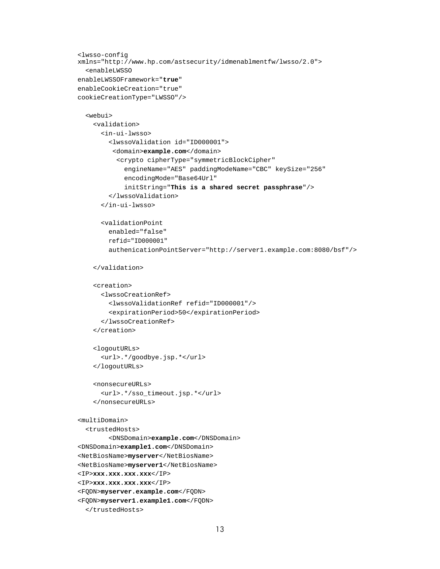```
<lwsso-config
xmlns="http://www.hp.com/astsecurity/idmenablmentfw/lwsso/2.0">
  <enableLWSSO 
enableLWSSOFramework="true" 
enableCookieCreation="true" 
cookieCreationType="LWSSO"/>
  <webui>
    <validation>
      <in-ui-lwsso>
        <lwssoValidation id="ID000001">
         <domain>example.com</domain>
          <crypto cipherType="symmetricBlockCipher" 
            engineName="AES" paddingModeName="CBC" keySize="256" 
            encodingMode="Base64Url"
            initString="This is a shared secret passphrase"/>
        </lwssoValidation>
      </in-ui-lwsso>
      <validationPoint 
        enabled="false" 
        refid="ID000001"
        authenicationPointServer="http://server1.example.com:8080/bsf"/>
    </validation>
    <creation>
      <lwssoCreationRef>
        <lwssoValidationRef refid="ID000001"/>
        <expirationPeriod>50</expirationPeriod>
      </lwssoCreationRef>
    </creation>
    <logoutURLs>
      <url>.*/goodbye.jsp.*</url>
    </logoutURLs>
    <nonsecureURLs>
      <url>.*/sso_timeout.jsp.*</url>
    </nonsecureURLs>
<multiDomain>
  <trustedHosts>
        <DNSDomain>example.com</DNSDomain>
<DNSDomain>example1.com</DNSDomain>
<NetBiosName>myserver</NetBiosName>
<NetBiosName>myserver1</NetBiosName>
<IP>xxx.xxx.xxx.xxx</IP>
<IP>xxx.xxx.xxx.xxx</IP>
<FQDN>myserver.example.com</FQDN>
<FQDN>myserver1.example1.com</FQDN>
```

```
</trustedHosts>
```